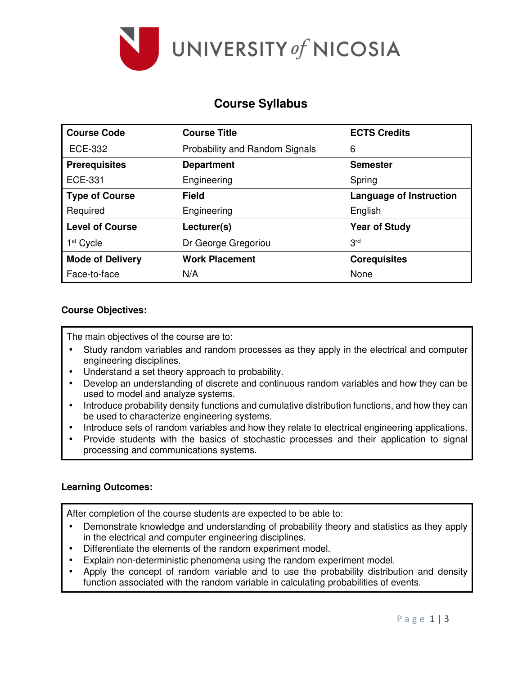

# **Course Syllabus**

| <b>Course Code</b>      | <b>Course Title</b>                   | <b>ECTS Credits</b>            |
|-------------------------|---------------------------------------|--------------------------------|
| <b>ECE-332</b>          | <b>Probability and Random Signals</b> | 6                              |
| <b>Prerequisites</b>    | <b>Department</b>                     | <b>Semester</b>                |
| <b>ECE-331</b>          | Engineering                           | Spring                         |
| <b>Type of Course</b>   | Field                                 | <b>Language of Instruction</b> |
| Required                | Engineering                           | English                        |
| <b>Level of Course</b>  | Lecturer(s)                           | <b>Year of Study</b>           |
| 1 <sup>st</sup> Cycle   | Dr George Gregoriou                   | 3 <sup>rd</sup>                |
| <b>Mode of Delivery</b> | <b>Work Placement</b>                 | <b>Corequisites</b>            |
| Face-to-face            | N/A                                   | None                           |

# **Course Objectives:**

The main objectives of the course are to:

- Study random variables and random processes as they apply in the electrical and computer engineering disciplines.
- Understand a set theory approach to probability.
- Develop an understanding of discrete and continuous random variables and how they can be used to model and analyze systems.
- Introduce probability density functions and cumulative distribution functions, and how they can be used to characterize engineering systems.
- Introduce sets of random variables and how they relate to electrical engineering applications.
- Provide students with the basics of stochastic processes and their application to signal processing and communications systems.

## **Learning Outcomes:**

After completion of the course students are expected to be able to:

- Demonstrate knowledge and understanding of probability theory and statistics as they apply in the electrical and computer engineering disciplines.
- Differentiate the elements of the random experiment model.
- Explain non-deterministic phenomena using the random experiment model.
- Apply the concept of random variable and to use the probability distribution and density function associated with the random variable in calculating probabilities of events.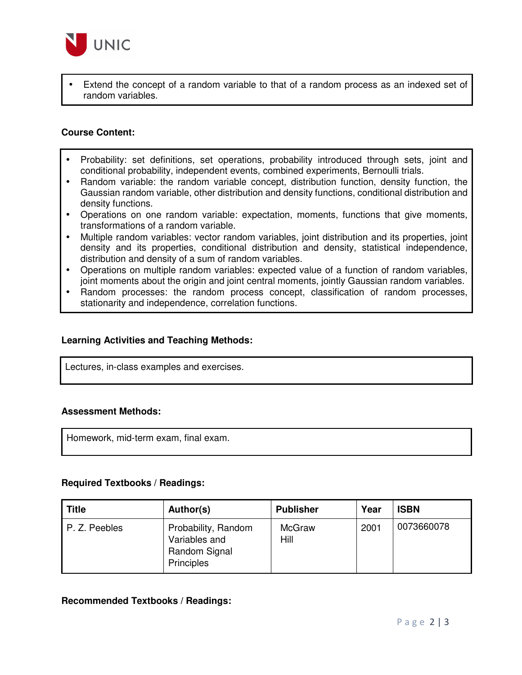

• Extend the concept of a random variable to that of a random process as an indexed set of random variables.

### **Course Content:**

- Probability: set definitions, set operations, probability introduced through sets, joint and conditional probability, independent events, combined experiments, Bernoulli trials.
- Random variable: the random variable concept, distribution function, density function, the Gaussian random variable, other distribution and density functions, conditional distribution and density functions.
- Operations on one random variable: expectation, moments, functions that give moments, transformations of a random variable.
- Multiple random variables: vector random variables, joint distribution and its properties, joint density and its properties, conditional distribution and density, statistical independence, distribution and density of a sum of random variables.
- Operations on multiple random variables: expected value of a function of random variables, joint moments about the origin and joint central moments, jointly Gaussian random variables.
- Random processes: the random process concept, classification of random processes, stationarity and independence, correlation functions.

#### **Learning Activities and Teaching Methods:**

Lectures, in-class examples and exercises.

#### **Assessment Methods:**

Homework, mid-term exam, final exam.

#### **Required Textbooks / Readings:**

| <b>Title</b>  | Author(s)                                                                  | <b>Publisher</b>      | Year | <b>ISBN</b> |
|---------------|----------------------------------------------------------------------------|-----------------------|------|-------------|
| P. Z. Peebles | Probability, Random<br>Variables and<br>Random Signal<br><b>Principles</b> | <b>McGraw</b><br>Hill | 2001 | 0073660078  |

#### **Recommended Textbooks / Readings:**